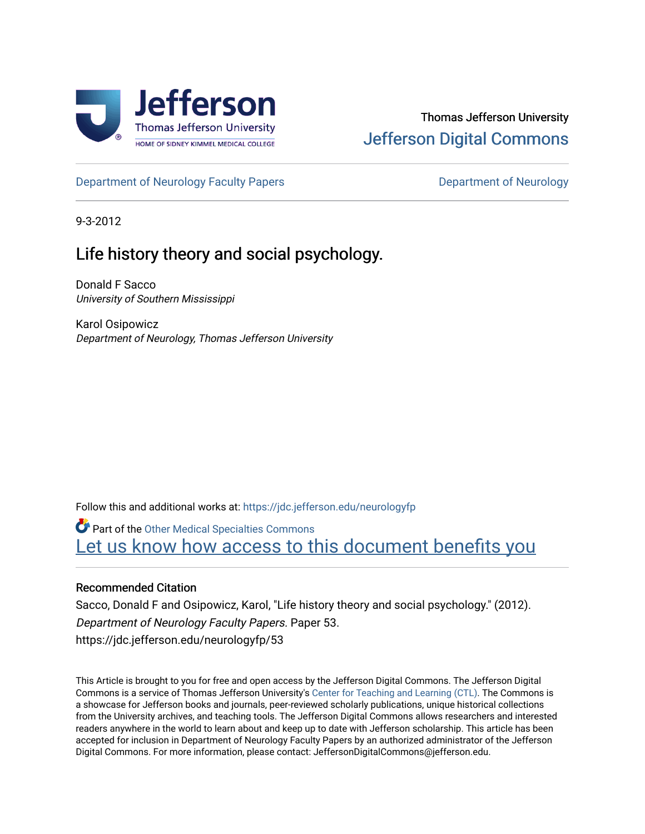

## Thomas Jefferson University [Jefferson Digital Commons](https://jdc.jefferson.edu/)

[Department of Neurology Faculty Papers](https://jdc.jefferson.edu/neurologyfp) **Department of Neurology** 

9-3-2012

# Life history theory and social psychology.

Donald F Sacco University of Southern Mississippi

Karol Osipowicz Department of Neurology, Thomas Jefferson University

Follow this and additional works at: [https://jdc.jefferson.edu/neurologyfp](https://jdc.jefferson.edu/neurologyfp?utm_source=jdc.jefferson.edu%2Fneurologyfp%2F53&utm_medium=PDF&utm_campaign=PDFCoverPages) 

Part of the [Other Medical Specialties Commons](http://network.bepress.com/hgg/discipline/708?utm_source=jdc.jefferson.edu%2Fneurologyfp%2F53&utm_medium=PDF&utm_campaign=PDFCoverPages)  Let us know how access to this document benefits you

## Recommended Citation

Sacco, Donald F and Osipowicz, Karol, "Life history theory and social psychology." (2012). Department of Neurology Faculty Papers. Paper 53. https://jdc.jefferson.edu/neurologyfp/53

This Article is brought to you for free and open access by the Jefferson Digital Commons. The Jefferson Digital Commons is a service of Thomas Jefferson University's [Center for Teaching and Learning \(CTL\)](http://www.jefferson.edu/university/teaching-learning.html/). The Commons is a showcase for Jefferson books and journals, peer-reviewed scholarly publications, unique historical collections from the University archives, and teaching tools. The Jefferson Digital Commons allows researchers and interested readers anywhere in the world to learn about and keep up to date with Jefferson scholarship. This article has been accepted for inclusion in Department of Neurology Faculty Papers by an authorized administrator of the Jefferson Digital Commons. For more information, please contact: JeffersonDigitalCommons@jefferson.edu.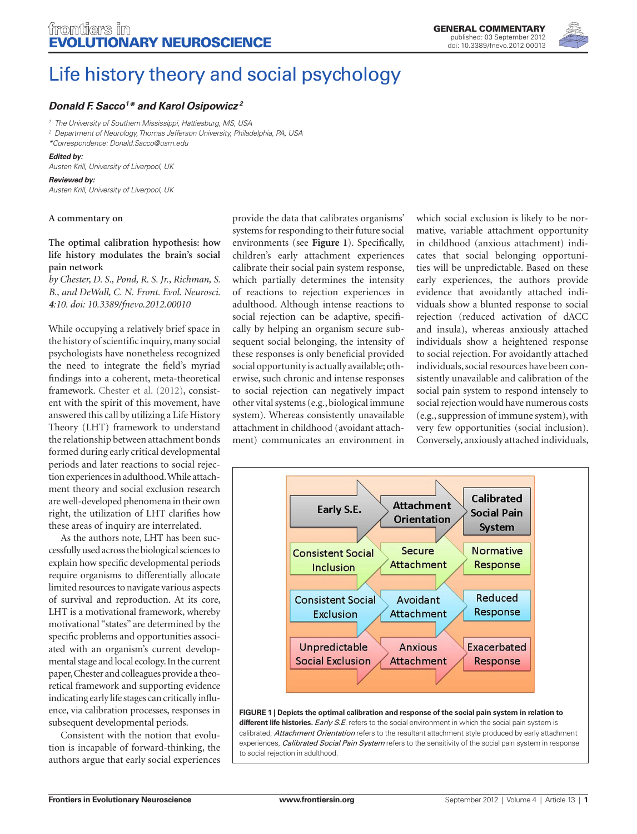

# [Life history theory and social psychology](http://www.frontiersin.org/Evolutionary_Neuroscience/10.3389/fnevo.2012.00013/full)

### *[Donald F. Sacco](http://www.frontiersin.org/Community/WhosWhoActivity.aspx?sname=DonaldSacco&UID=54385)1 \* and [Karol Osipowicz](http://www.frontiersin.org/people/KarolOsipowicz/3193) <sup>2</sup>*

*<sup>1</sup> The University of Southern Mississippi, Hattiesburg, MS, USA*

*<sup>2</sup> Department of Neurology, Thomas Jefferson University, Philadelphia, PA, USA \*Correspondence: Donald.Sacco@usm.edu*

#### *Edited by:*

*Austen Krill, University of Liverpool, UK*

#### *Reviewed by:*

*Austen Krill, University of Liverpool, UK*

#### **A commentary on**

### **[The optimal calibration hypothesis: how](http://www.frontiersin.org/Evolutionary_Neuroscience/10.3389/fnevo.2012.00010/abstract)  [life history modulates the brain's social](http://www.frontiersin.org/Evolutionary_Neuroscience/10.3389/fnevo.2012.00010/abstract)  [pain network](http://www.frontiersin.org/Evolutionary_Neuroscience/10.3389/fnevo.2012.00010/abstract)**

*by Chester, D. S., Pond, R. S. Jr., Richman, S. B., and DeWall, C. N. Front. Evol. Neurosci. 4:10. doi: 10.3389/fnevo.2012.00010*

While occupying a relatively brief space in the history of scientific inquiry, many social psychologists have nonetheless recognized the need to integrate the field's myriad findings into a coherent, meta-theoretical framework. Chester et al. (2012), consistent with the spirit of this movement, have answered this call by utilizing a Life History Theory (LHT) framework to understand the relationship between attachment bonds formed during early critical developmental periods and later reactions to social rejection experiences in adulthood. While attachment theory and social exclusion research are well-developed phenomena in their own right, the utilization of LHT clarifies how these areas of inquiry are interrelated.

As the authors note, LHT has been successfully used across the biological sciences to explain how specific developmental periods require organisms to differentially allocate limited resources to navigate various aspects of survival and reproduction. At its core, LHT is a motivational framework, whereby motivational "states" are determined by the specific problems and opportunities associated with an organism's current developmental stage and local ecology. In the current paper, Chester and colleagues provide a theoretical framework and supporting evidence indicating early life stages can critically influence, via calibration processes, responses in subsequent developmental periods.

Consistent with the notion that evolution is incapable of forward-thinking, the authors argue that early social experiences

provide the data that calibrates organisms' systems for responding to their future social environments (see **Figure 1**). Specifically, children's early attachment experiences calibrate their social pain system response, which partially determines the intensity of reactions to rejection experiences in adulthood. Although intense reactions to social rejection can be adaptive, specifically by helping an organism secure subsequent social belonging, the intensity of these responses is only beneficial provided social opportunity is actually available; otherwise, such chronic and intense responses to social rejection can negatively impact other vital systems (e.g., biological immune system). Whereas consistently unavailable attachment in childhood (avoidant attachment) communicates an environment in which social exclusion is likely to be normative, variable attachment opportunity in childhood (anxious attachment) indicates that social belonging opportunities will be unpredictable. Based on these early experiences, the authors provide evidence that avoidantly attached individuals show a blunted response to social rejection (reduced activation of dACC and insula), whereas anxiously attached individuals show a heightened response to social rejection. For avoidantly attached individuals, social resources have been consistently unavailable and calibration of the social pain system to respond intensely to social rejection would have numerous costs (e.g., suppression of immune system), with very few opportunities (social inclusion). Conversely, anxiously attached individuals,



#### **Figure 1 | Depicts the optimal calibration and response of the social pain system in relation to different life histories.** *Early S.E*. refers to the social environment in which the social pain system is calibrated, *Attachment Orientation* refers to the resultant attachment style produced by early attachment experiences, *Calibrated Social Pain System* refers to the sensitivity of the social pain system in response to social rejection in adulthood.